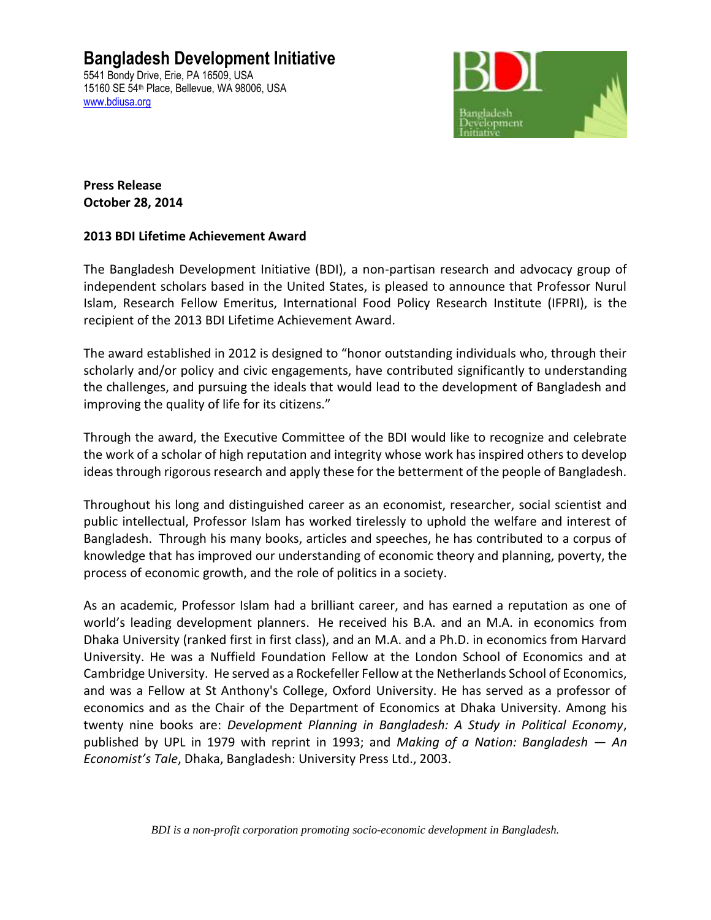## **Bangladesh Development Initiative**

5541 Bondy Drive, Erie, PA 16509, USA 15160 SE 54th Place, Bellevue, WA 98006, USA [www.bdiusa.org](http://www.bdiusa.org/)



**Press Release October 28, 2014**

## **2013 BDI Lifetime Achievement Award**

The Bangladesh Development Initiative (BDI), a non-partisan research and advocacy group of independent scholars based in the United States, is pleased to announce that Professor Nurul Islam, Research Fellow Emeritus, International Food Policy Research Institute (IFPRI), is the recipient of the 2013 BDI Lifetime Achievement Award.

The award established in 2012 is designed to "honor outstanding individuals who, through their scholarly and/or policy and civic engagements, have contributed significantly to understanding the challenges, and pursuing the ideals that would lead to the development of Bangladesh and improving the quality of life for its citizens."

Through the award, the Executive Committee of the BDI would like to recognize and celebrate the work of a scholar of high reputation and integrity whose work has inspired others to develop ideas through rigorous research and apply these for the betterment of the people of Bangladesh.

Throughout his long and distinguished career as an economist, researcher, social scientist and public intellectual, Professor Islam has worked tirelessly to uphold the welfare and interest of Bangladesh. Through his many books, articles and speeches, he has contributed to a corpus of knowledge that has improved our understanding of economic theory and planning, poverty, the process of economic growth, and the role of politics in a society.

As an academic, Professor Islam had a brilliant career, and has earned a reputation as one of world's leading development planners. He received his B.A. and an M.A. in economics from Dhaka University (ranked first in first class), and an M.A. and a Ph.D. in economics from Harvard University. He was a Nuffield Foundation Fellow at the London School of Economics and at Cambridge University. He served as a Rockefeller Fellow at the Netherlands School of Economics, and was a Fellow at St Anthony's College, Oxford University. He has served as a professor of economics and as the Chair of the Department of Economics at Dhaka University. Among his twenty nine books are: *Development Planning in Bangladesh: A Study in Political Economy*, published by UPL in 1979 with reprint in 1993; and *Making of a Nation: Bangladesh — An Economist's Tale*, Dhaka, Bangladesh: University Press Ltd., 2003.